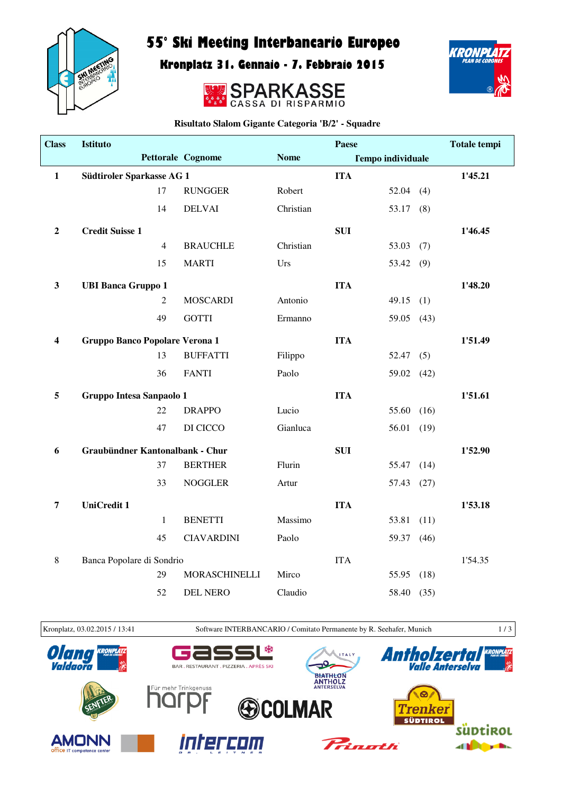

## 55° Ski Meeting Interbancario Europeo

Kronplatz 31. Gennaio - 7. Febbraio 2015





**Risultato Slalom Gigante Categoria 'B/2' - Squadre**

| <b>Class</b>     | <b>Istituto</b>                 |                |                          |             | Paese                    |             |         | <b>Totale tempi</b> |
|------------------|---------------------------------|----------------|--------------------------|-------------|--------------------------|-------------|---------|---------------------|
|                  |                                 |                | <b>Pettorale Cognome</b> | <b>Nome</b> | <b>Tempo individuale</b> |             |         |                     |
| $\mathbf{1}$     | Südtiroler Sparkasse AG 1       |                |                          |             | <b>ITA</b>               |             |         | 1'45.21             |
|                  |                                 | 17             | <b>RUNGGER</b>           | Robert      |                          | 52.04       | (4)     |                     |
|                  |                                 | 14             | <b>DELVAI</b>            | Christian   |                          | 53.17       | (8)     |                     |
| $\boldsymbol{2}$ | <b>Credit Suisse 1</b>          |                |                          |             | <b>SUI</b>               |             |         | 1'46.45             |
|                  |                                 | $\overline{4}$ | <b>BRAUCHLE</b>          | Christian   |                          | $53.03$ (7) |         |                     |
|                  |                                 | 15             | <b>MARTI</b>             | Urs         |                          | 53.42       | (9)     |                     |
| $\mathbf{3}$     | <b>UBI Banca Gruppo 1</b>       |                |                          |             | <b>ITA</b>               |             |         | 1'48.20             |
|                  |                                 | $\overline{2}$ | <b>MOSCARDI</b>          | Antonio     |                          | 49.15       | (1)     |                     |
|                  |                                 | 49             | <b>GOTTI</b>             | Ermanno     |                          | 59.05       | (43)    |                     |
| 4                | Gruppo Banco Popolare Verona 1  |                |                          |             | <b>ITA</b>               |             |         | 1'51.49             |
|                  |                                 | 13             | <b>BUFFATTI</b>          | Filippo     |                          | 52.47(5)    |         |                     |
|                  |                                 | 36             | <b>FANTI</b>             | Paolo       |                          | 59.02       | (42)    |                     |
| 5                | Gruppo Intesa Sanpaolo 1        |                |                          |             | <b>ITA</b>               |             |         | 1'51.61             |
|                  |                                 | 22             | <b>DRAPPO</b>            | Lucio       |                          | 55.60       | (16)    |                     |
|                  |                                 | 47             | DI CICCO                 | Gianluca    |                          | 56.01       | (19)    |                     |
| 6                | Graubündner Kantonalbank - Chur |                |                          | <b>SUI</b>  |                          |             | 1'52.90 |                     |
|                  |                                 | 37             | <b>BERTHER</b>           | Flurin      |                          | 55.47       | (14)    |                     |
|                  |                                 | 33             | <b>NOGGLER</b>           | Artur       |                          | 57.43       | (27)    |                     |
| 7                | <b>UniCredit 1</b>              |                |                          |             | <b>ITA</b>               |             |         | 1'53.18             |
|                  |                                 | $\mathbf{1}$   | <b>BENETTI</b>           | Massimo     |                          | 53.81       | (11)    |                     |
|                  |                                 | 45             | <b>CIAVARDINI</b>        | Paolo       |                          | 59.37       | (46)    |                     |
| $\,8\,$          | Banca Popolare di Sondrio       |                |                          |             | <b>ITA</b>               |             |         | 1'54.35             |
|                  |                                 | 29             | <b>MORASCHINELLI</b>     | Mirco       |                          | 55.95       | (18)    |                     |
|                  |                                 | 52             | <b>DEL NERO</b>          | Claudio     |                          | 58.40 (35)  |         |                     |

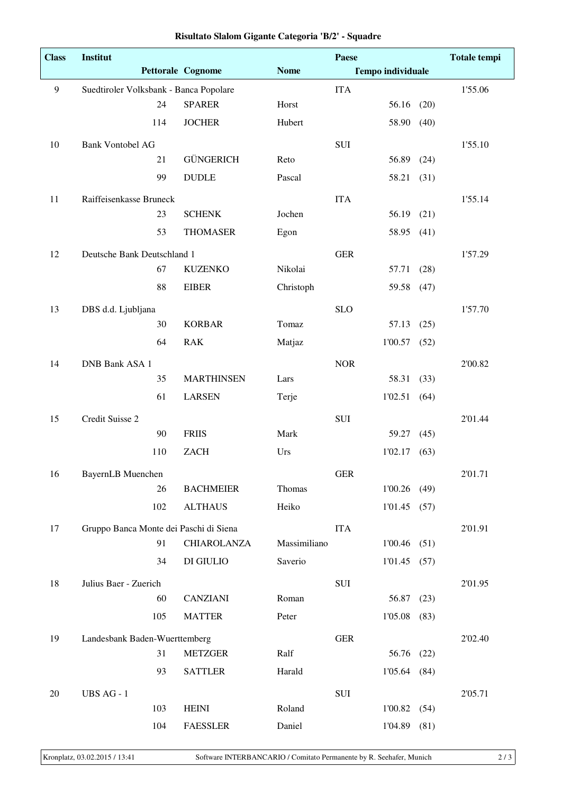| <b>Class</b> | Institut                               | Paese                    |              |             | <b>Totale tempi</b>      |      |         |
|--------------|----------------------------------------|--------------------------|--------------|-------------|--------------------------|------|---------|
|              |                                        | <b>Pettorale Cognome</b> | <b>Nome</b>  |             | <b>Tempo individuale</b> |      |         |
| 9            | Suedtiroler Volksbank - Banca Popolare |                          |              | <b>ITA</b>  |                          |      | 1'55.06 |
|              | 24                                     | <b>SPARER</b>            | Horst        |             | 56.16                    | (20) |         |
|              | 114                                    | <b>JOCHER</b>            | Hubert       |             | 58.90                    | (40) |         |
| 10           | <b>Bank Vontobel AG</b>                |                          |              | SUI         |                          |      | 1'55.10 |
|              | 21                                     | <b>GÜNGERICH</b>         | Reto         |             | 56.89                    | (24) |         |
|              | 99                                     | <b>DUDLE</b>             | Pascal       |             | 58.21                    | (31) |         |
| 11           | Raiffeisenkasse Bruneck                |                          |              | <b>ITA</b>  |                          |      | 1'55.14 |
|              | 23                                     | <b>SCHENK</b>            | Jochen       |             | 56.19                    | (21) |         |
|              | 53                                     | <b>THOMASER</b>          | Egon         |             | 58.95                    | (41) |         |
| 12           | Deutsche Bank Deutschland 1            |                          |              | <b>GER</b>  |                          |      | 1'57.29 |
|              | 67                                     | <b>KUZENKO</b>           | Nikolai      |             | 57.71                    | (28) |         |
|              | 88                                     | <b>EIBER</b>             | Christoph    |             | 59.58                    | (47) |         |
| 13           | DBS d.d. Ljubljana                     |                          |              | <b>SLO</b>  |                          |      | 1'57.70 |
|              | 30                                     | <b>KORBAR</b>            | Tomaz        |             | 57.13                    | (25) |         |
|              | 64                                     | <b>RAK</b>               | Matjaz       |             | 1'00.57                  | (52) |         |
| 14           | <b>DNB Bank ASA 1</b>                  |                          |              | <b>NOR</b>  |                          |      | 2'00.82 |
|              | 35                                     | <b>MARTHINSEN</b>        | Lars         |             | 58.31                    | (33) |         |
|              | 61                                     | <b>LARSEN</b>            | Terje        |             | 1'02.51                  | (64) |         |
| 15           | Credit Suisse 2                        |                          |              | SUI         |                          |      | 2'01.44 |
|              | 90                                     | <b>FRIIS</b>             | Mark         |             | 59.27                    | (45) |         |
|              | 110                                    | <b>ZACH</b>              | Urs          |             | 1'02.17                  | (63) |         |
| 16           | <b>BayernLB</b> Muenchen               |                          |              | ${\tt GER}$ |                          |      | 2'01.71 |
|              | 26                                     | <b>BACHMEIER</b>         | Thomas       |             | 1'00.26                  | (49) |         |
|              | 102                                    | <b>ALTHAUS</b>           | Heiko        |             | 1'01.45                  | (57) |         |
| 17           | Gruppo Banca Monte dei Paschi di Siena |                          |              | <b>ITA</b>  |                          |      | 2'01.91 |
|              | 91                                     | <b>CHIAROLANZA</b>       | Massimiliano |             | 1'00.46                  | (51) |         |
|              | 34                                     | DI GIULIO                | Saverio      |             | 1'01.45                  | (57) |         |
| 18           | Julius Baer - Zuerich                  |                          |              | ${\bf SUI}$ |                          |      | 2'01.95 |
|              | 60                                     | <b>CANZIANI</b>          | Roman        |             | 56.87                    | (23) |         |
|              | 105                                    | <b>MATTER</b>            | Peter        |             | 1'05.08                  | (83) |         |
| 19           | Landesbank Baden-Wuerttemberg          |                          |              | ${\tt GER}$ |                          |      | 2'02.40 |
|              | 31                                     | <b>METZGER</b>           | Ralf         |             | 56.76                    | (22) |         |
|              | 93                                     | <b>SATTLER</b>           | Harald       |             | 1'05.64                  | (84) |         |
| 20           | UBS AG - 1                             |                          |              | $\rm SUI$   |                          |      | 2'05.71 |
|              | 103                                    | <b>HEINI</b>             | Roland       |             | $1'00.82$ (54)           |      |         |
|              | 104                                    | <b>FAESSLER</b>          | Daniel       |             | $1'04.89$ (81)           |      |         |

|  |  |  | Risultato Slalom Gigante Categoria 'B/2' - Squadre |  |  |
|--|--|--|----------------------------------------------------|--|--|
|--|--|--|----------------------------------------------------|--|--|